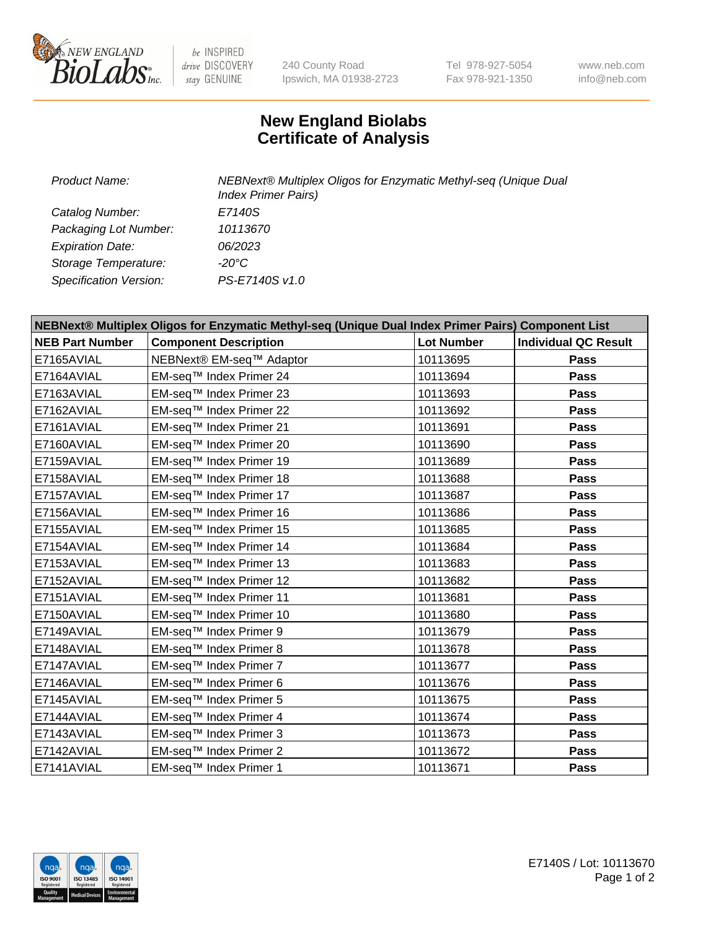

 $be$  INSPIRED drive DISCOVERY stay GENUINE

240 County Road Ipswich, MA 01938-2723 Tel 978-927-5054 Fax 978-921-1350 www.neb.com info@neb.com

## **New England Biolabs Certificate of Analysis**

| Product Name:           | NEBNext® Multiplex Oligos for Enzymatic Methyl-seq (Unique Dual<br><b>Index Primer Pairs)</b> |  |
|-------------------------|-----------------------------------------------------------------------------------------------|--|
| Catalog Number:         | E7140S                                                                                        |  |
| Packaging Lot Number:   | 10113670                                                                                      |  |
| <b>Expiration Date:</b> | 06/2023                                                                                       |  |
| Storage Temperature:    | -20°C                                                                                         |  |
| Specification Version:  | PS-E7140S v1.0                                                                                |  |

| NEBNext® Multiplex Oligos for Enzymatic Methyl-seq (Unique Dual Index Primer Pairs) Component List |                              |                   |                             |  |
|----------------------------------------------------------------------------------------------------|------------------------------|-------------------|-----------------------------|--|
| <b>NEB Part Number</b>                                                                             | <b>Component Description</b> | <b>Lot Number</b> | <b>Individual QC Result</b> |  |
| E7165AVIAL                                                                                         | NEBNext® EM-seq™ Adaptor     | 10113695          | Pass                        |  |
| E7164AVIAL                                                                                         | EM-seq™ Index Primer 24      | 10113694          | <b>Pass</b>                 |  |
| E7163AVIAL                                                                                         | EM-seq™ Index Primer 23      | 10113693          | <b>Pass</b>                 |  |
| E7162AVIAL                                                                                         | EM-seq™ Index Primer 22      | 10113692          | Pass                        |  |
| E7161AVIAL                                                                                         | EM-seq™ Index Primer 21      | 10113691          | Pass                        |  |
| E7160AVIAL                                                                                         | EM-seq™ Index Primer 20      | 10113690          | Pass                        |  |
| E7159AVIAL                                                                                         | EM-seq™ Index Primer 19      | 10113689          | <b>Pass</b>                 |  |
| E7158AVIAL                                                                                         | EM-seq™ Index Primer 18      | 10113688          | Pass                        |  |
| E7157AVIAL                                                                                         | EM-seq™ Index Primer 17      | 10113687          | Pass                        |  |
| E7156AVIAL                                                                                         | EM-seq™ Index Primer 16      | 10113686          | <b>Pass</b>                 |  |
| E7155AVIAL                                                                                         | EM-seq™ Index Primer 15      | 10113685          | <b>Pass</b>                 |  |
| E7154AVIAL                                                                                         | EM-seq™ Index Primer 14      | 10113684          | <b>Pass</b>                 |  |
| E7153AVIAL                                                                                         | EM-seq™ Index Primer 13      | 10113683          | Pass                        |  |
| E7152AVIAL                                                                                         | EM-seq™ Index Primer 12      | 10113682          | <b>Pass</b>                 |  |
| E7151AVIAL                                                                                         | EM-seq™ Index Primer 11      | 10113681          | <b>Pass</b>                 |  |
| E7150AVIAL                                                                                         | EM-seq™ Index Primer 10      | 10113680          | <b>Pass</b>                 |  |
| E7149AVIAL                                                                                         | EM-seq™ Index Primer 9       | 10113679          | <b>Pass</b>                 |  |
| E7148AVIAL                                                                                         | EM-seq™ Index Primer 8       | 10113678          | <b>Pass</b>                 |  |
| E7147AVIAL                                                                                         | EM-seq™ Index Primer 7       | 10113677          | Pass                        |  |
| E7146AVIAL                                                                                         | EM-seq™ Index Primer 6       | 10113676          | <b>Pass</b>                 |  |
| E7145AVIAL                                                                                         | EM-seq™ Index Primer 5       | 10113675          | <b>Pass</b>                 |  |
| E7144AVIAL                                                                                         | EM-seq™ Index Primer 4       | 10113674          | Pass                        |  |
| E7143AVIAL                                                                                         | EM-seq™ Index Primer 3       | 10113673          | Pass                        |  |
| E7142AVIAL                                                                                         | EM-seq™ Index Primer 2       | 10113672          | <b>Pass</b>                 |  |
| E7141AVIAL                                                                                         | EM-seq™ Index Primer 1       | 10113671          | Pass                        |  |